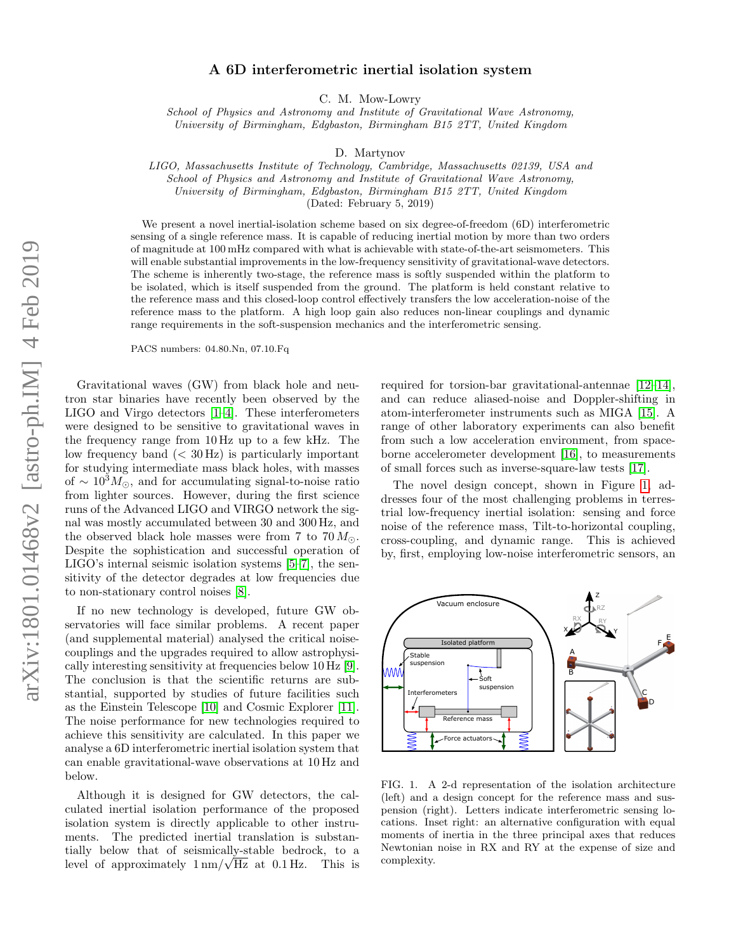# A 6D interferometric inertial isolation system

C. M. Mow-Lowry

School of Physics and Astronomy and Institute of Gravitational Wave Astronomy, University of Birmingham, Edgbaston, Birmingham B15 2TT, United Kingdom

D. Martynov

LIGO, Massachusetts Institute of Technology, Cambridge, Massachusetts 02139, USA and School of Physics and Astronomy and Institute of Gravitational Wave Astronomy,

University of Birmingham, Edgbaston, Birmingham B15 2TT, United Kingdom

(Dated: February 5, 2019)

We present a novel inertial-isolation scheme based on six degree-of-freedom (6D) interferometric sensing of a single reference mass. It is capable of reducing inertial motion by more than two orders of magnitude at 100 mHz compared with what is achievable with state-of-the-art seismometers. This will enable substantial improvements in the low-frequency sensitivity of gravitational-wave detectors. The scheme is inherently two-stage, the reference mass is softly suspended within the platform to be isolated, which is itself suspended from the ground. The platform is held constant relative to the reference mass and this closed-loop control effectively transfers the low acceleration-noise of the reference mass to the platform. A high loop gain also reduces non-linear couplings and dynamic range requirements in the soft-suspension mechanics and the interferometric sensing.

PACS numbers: 04.80.Nn, 07.10.Fq

Gravitational waves (GW) from black hole and neutron star binaries have recently been observed by the LIGO and Virgo detectors [\[1](#page-6-0)[–4\]](#page-6-1). These interferometers were designed to be sensitive to gravitational waves in the frequency range from 10 Hz up to a few kHz. The low frequency band  $( $30 \text{ Hz}$ )$  is particularly important for studying intermediate mass black holes, with masses of  $\sim 10^3 M_{\odot}$ , and for accumulating signal-to-noise ratio from lighter sources. However, during the first science runs of the Advanced LIGO and VIRGO network the signal was mostly accumulated between 30 and 300 Hz, and the observed black hole masses were from 7 to  $70 M_{\odot}$ . Despite the sophistication and successful operation of LIGO's internal seismic isolation systems [\[5–](#page-6-2)[7\]](#page-6-3), the sensitivity of the detector degrades at low frequencies due to non-stationary control noises [\[8\]](#page-6-4).

If no new technology is developed, future GW observatories will face similar problems. A recent paper (and supplemental material) analysed the critical noisecouplings and the upgrades required to allow astrophysically interesting sensitivity at frequencies below 10 Hz [\[9\]](#page-6-5). The conclusion is that the scientific returns are substantial, supported by studies of future facilities such as the Einstein Telescope [\[10\]](#page-6-6) and Cosmic Explorer [\[11\]](#page-6-7). The noise performance for new technologies required to achieve this sensitivity are calculated. In this paper we analyse a 6D interferometric inertial isolation system that can enable gravitational-wave observations at 10 Hz and below.

Although it is designed for GW detectors, the calculated inertial isolation performance of the proposed isolation system is directly applicable to other instruments. The predicted inertial translation is substantially below that of seismically-stable bedrock, to a tially below that of seismically-stable bedrock, to a<br>level of approximately  $1 \text{ nm}/\sqrt{\text{Hz}}$  at 0.1 Hz. This is required for torsion-bar gravitational-antennae [\[12–](#page-6-8)[14\]](#page-6-9), and can reduce aliased-noise and Doppler-shifting in atom-interferometer instruments such as MIGA [\[15\]](#page-6-10). A range of other laboratory experiments can also benefit from such a low acceleration environment, from spaceborne accelerometer development [\[16\]](#page-6-11), to measurements of small forces such as inverse-square-law tests [\[17\]](#page-7-0).

The novel design concept, shown in Figure [1,](#page-0-0) addresses four of the most challenging problems in terrestrial low-frequency inertial isolation: sensing and force noise of the reference mass, Tilt-to-horizontal coupling, cross-coupling, and dynamic range. This is achieved by, first, employing low-noise interferometric sensors, an

Z



Vacuum enclosure

<span id="page-0-0"></span>FIG. 1. A 2-d representation of the isolation architecture (left) and a design concept for the reference mass and suspension (right). Letters indicate interferometric sensing locations. Inset right: an alternative configuration with equal moments of inertia in the three principal axes that reduces Newtonian noise in RX and RY at the expense of size and complexity.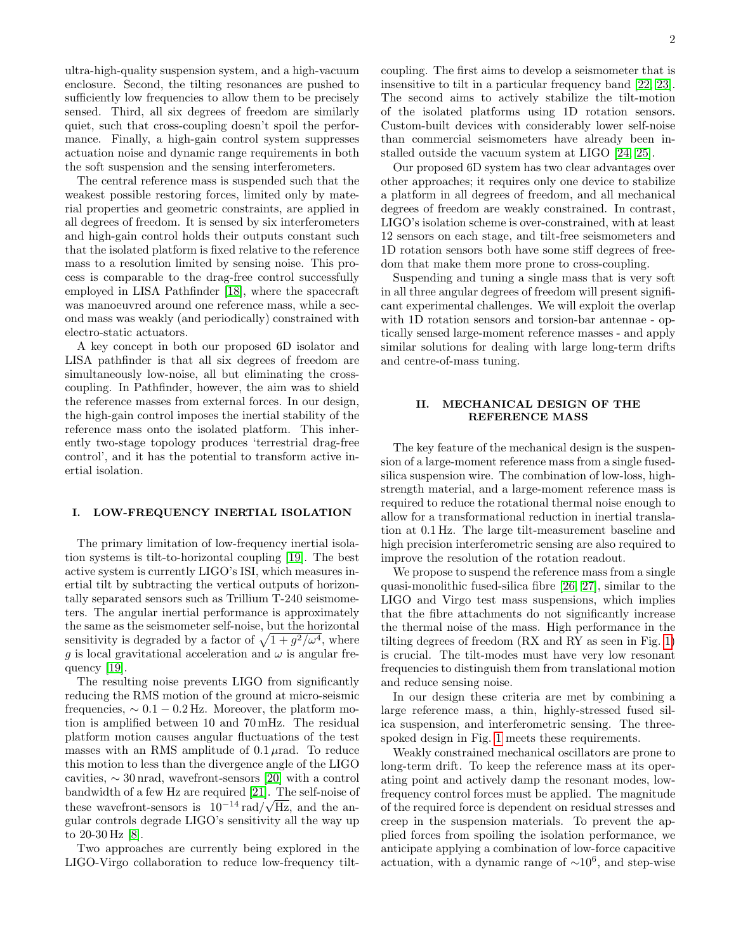ultra-high-quality suspension system, and a high-vacuum enclosure. Second, the tilting resonances are pushed to sufficiently low frequencies to allow them to be precisely sensed. Third, all six degrees of freedom are similarly quiet, such that cross-coupling doesn't spoil the performance. Finally, a high-gain control system suppresses actuation noise and dynamic range requirements in both the soft suspension and the sensing interferometers.

The central reference mass is suspended such that the weakest possible restoring forces, limited only by material properties and geometric constraints, are applied in all degrees of freedom. It is sensed by six interferometers and high-gain control holds their outputs constant such that the isolated platform is fixed relative to the reference mass to a resolution limited by sensing noise. This process is comparable to the drag-free control successfully employed in LISA Pathfinder [\[18\]](#page-7-1), where the spacecraft was manoeuvred around one reference mass, while a second mass was weakly (and periodically) constrained with electro-static actuators.

A key concept in both our proposed 6D isolator and LISA pathfinder is that all six degrees of freedom are simultaneously low-noise, all but eliminating the crosscoupling. In Pathfinder, however, the aim was to shield the reference masses from external forces. In our design, the high-gain control imposes the inertial stability of the reference mass onto the isolated platform. This inherently two-stage topology produces 'terrestrial drag-free control', and it has the potential to transform active inertial isolation.

#### I. LOW-FREQUENCY INERTIAL ISOLATION

The primary limitation of low-frequency inertial isolation systems is tilt-to-horizontal coupling [\[19\]](#page-7-2). The best active system is currently LIGO's ISI, which measures inertial tilt by subtracting the vertical outputs of horizontally separated sensors such as Trillium T-240 seismometers. The angular inertial performance is approximately the same as the seismometer self-noise, but the horizontal sensitivity is degraded by a factor of  $\sqrt{1 + g^2/\omega^4}$ , where g is local gravitational acceleration and  $\omega$  is angular frequency [\[19\]](#page-7-2).

The resulting noise prevents LIGO from significantly reducing the RMS motion of the ground at micro-seismic frequencies,  $\sim 0.1 - 0.2$  Hz. Moreover, the platform motion is amplified between 10 and 70 mHz. The residual platform motion causes angular fluctuations of the test masses with an RMS amplitude of  $0.1 \mu$ rad. To reduce this motion to less than the divergence angle of the LIGO cavities,  $\sim 30 \text{ nrad}$ , wavefront-sensors [\[20\]](#page-7-3) with a control bandwidth of a few Hz are required  $[21]$ . The self-noise of these wavefront-sensors is  $10^{-14}$  rad/ $\sqrt{Hz}$ , and the angular controls degrade LIGO's sensitivity all the way up to 20-30 Hz [\[8\]](#page-6-4).

Two approaches are currently being explored in the LIGO-Virgo collaboration to reduce low-frequency tiltcoupling. The first aims to develop a seismometer that is insensitive to tilt in a particular frequency band [\[22,](#page-7-5) [23\]](#page-7-6). The second aims to actively stabilize the tilt-motion of the isolated platforms using 1D rotation sensors. Custom-built devices with considerably lower self-noise than commercial seismometers have already been installed outside the vacuum system at LIGO [\[24,](#page-7-7) [25\]](#page-7-8).

Our proposed 6D system has two clear advantages over other approaches; it requires only one device to stabilize a platform in all degrees of freedom, and all mechanical degrees of freedom are weakly constrained. In contrast, LIGO's isolation scheme is over-constrained, with at least 12 sensors on each stage, and tilt-free seismometers and 1D rotation sensors both have some stiff degrees of freedom that make them more prone to cross-coupling.

Suspending and tuning a single mass that is very soft in all three angular degrees of freedom will present significant experimental challenges. We will exploit the overlap with 1D rotation sensors and torsion-bar antennae - optically sensed large-moment reference masses - and apply similar solutions for dealing with large long-term drifts and centre-of-mass tuning.

### II. MECHANICAL DESIGN OF THE REFERENCE MASS

The key feature of the mechanical design is the suspension of a large-moment reference mass from a single fusedsilica suspension wire. The combination of low-loss, highstrength material, and a large-moment reference mass is required to reduce the rotational thermal noise enough to allow for a transformational reduction in inertial translation at 0.1 Hz. The large tilt-measurement baseline and high precision interferometric sensing are also required to improve the resolution of the rotation readout.

We propose to suspend the reference mass from a single quasi-monolithic fused-silica fibre [\[26,](#page-7-9) [27\]](#page-7-10), similar to the LIGO and Virgo test mass suspensions, which implies that the fibre attachments do not significantly increase the thermal noise of the mass. High performance in the tilting degrees of freedom (RX and RY as seen in Fig. [1\)](#page-0-0) is crucial. The tilt-modes must have very low resonant frequencies to distinguish them from translational motion and reduce sensing noise.

In our design these criteria are met by combining a large reference mass, a thin, highly-stressed fused silica suspension, and interferometric sensing. The threespoked design in Fig. [1](#page-0-0) meets these requirements.

Weakly constrained mechanical oscillators are prone to long-term drift. To keep the reference mass at its operating point and actively damp the resonant modes, lowfrequency control forces must be applied. The magnitude of the required force is dependent on residual stresses and creep in the suspension materials. To prevent the applied forces from spoiling the isolation performance, we anticipate applying a combination of low-force capacitive actuation, with a dynamic range of  $\sim 10^6$ , and step-wise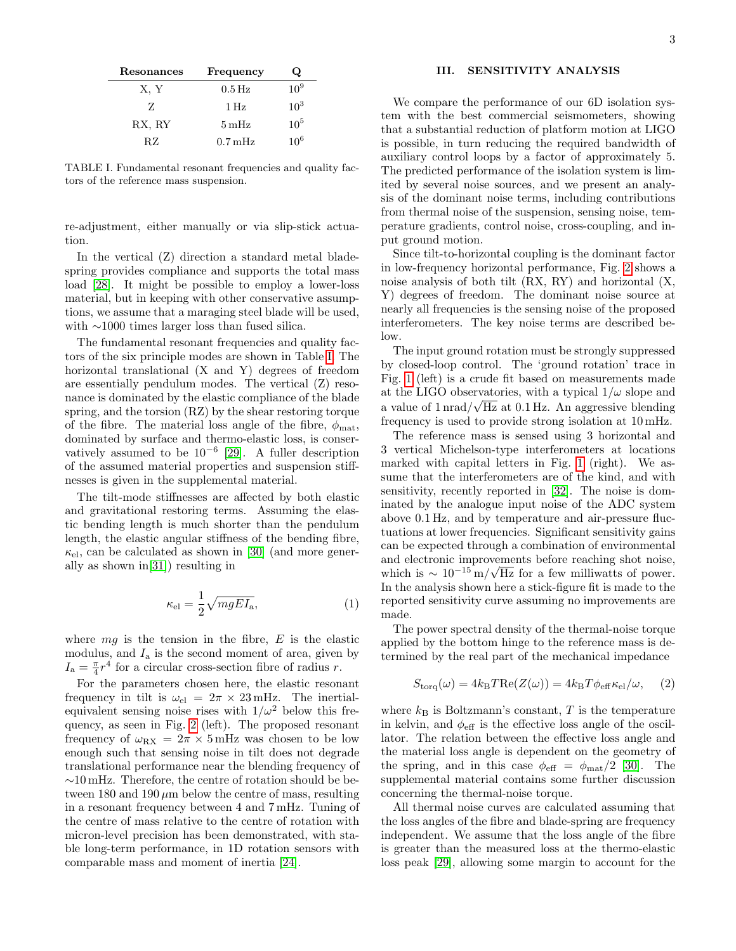| Resonances | Frequency            | Q        |
|------------|----------------------|----------|
| X, Y       | $0.5\,\mathrm{Hz}$   | $10^{9}$ |
| Z          | $1$ Hz               | $10^3$   |
| RX, RY     | $5\,\mathrm{mHz}$    | $10^{5}$ |
| RZ         | $0.7 \,\mathrm{mHz}$ | $10^{6}$ |

<span id="page-2-0"></span>TABLE I. Fundamental resonant frequencies and quality factors of the reference mass suspension.

re-adjustment, either manually or via slip-stick actuation.

In the vertical (Z) direction a standard metal bladespring provides compliance and supports the total mass load [\[28\]](#page-7-11). It might be possible to employ a lower-loss material, but in keeping with other conservative assumptions, we assume that a maraging steel blade will be used, with ∼1000 times larger loss than fused silica.

The fundamental resonant frequencies and quality factors of the six principle modes are shown in Table [I.](#page-2-0) The horizontal translational (X and Y) degrees of freedom are essentially pendulum modes. The vertical (Z) resonance is dominated by the elastic compliance of the blade spring, and the torsion (RZ) by the shear restoring torque of the fibre. The material loss angle of the fibre,  $\phi_{\text{mat}}$ , dominated by surface and thermo-elastic loss, is conservatively assumed to be  $10^{-6}$  [\[29\]](#page-7-12). A fuller description of the assumed material properties and suspension stiffnesses is given in the supplemental material.

The tilt-mode stiffnesses are affected by both elastic and gravitational restoring terms. Assuming the elastic bending length is much shorter than the pendulum length, the elastic angular stiffness of the bending fibre,  $\kappa_{\rm el}$ , can be calculated as shown in [\[30\]](#page-7-13) (and more generally as shown in[\[31\]](#page-7-14)) resulting in

$$
\kappa_{\rm el} = \frac{1}{2} \sqrt{mgEI_{\rm a}}, \tag{1}
$$

where  $mg$  is the tension in the fibre,  $E$  is the elastic modulus, and  $I_a$  is the second moment of area, given by  $I_{\rm a} = \frac{\pi}{4}r^4$  for a circular cross-section fibre of radius r.

For the parameters chosen here, the elastic resonant frequency in tilt is  $\omega_{el} = 2\pi \times 23 \text{ mHz}$ . The inertialequivalent sensing noise rises with  $1/\omega^2$  below this frequency, as seen in Fig. [2](#page-3-0) (left). The proposed resonant frequency of  $\omega_{\rm RX} = 2\pi \times 5$  mHz was chosen to be low enough such that sensing noise in tilt does not degrade translational performance near the blending frequency of ∼10 mHz. Therefore, the centre of rotation should be between 180 and 190  $\mu$ m below the centre of mass, resulting in a resonant frequency between 4 and 7 mHz. Tuning of the centre of mass relative to the centre of rotation with micron-level precision has been demonstrated, with stable long-term performance, in 1D rotation sensors with comparable mass and moment of inertia [\[24\]](#page-7-7).

# III. SENSITIVITY ANALYSIS

We compare the performance of our 6D isolation system with the best commercial seismometers, showing that a substantial reduction of platform motion at LIGO is possible, in turn reducing the required bandwidth of auxiliary control loops by a factor of approximately 5. The predicted performance of the isolation system is limited by several noise sources, and we present an analysis of the dominant noise terms, including contributions from thermal noise of the suspension, sensing noise, temperature gradients, control noise, cross-coupling, and input ground motion.

Since tilt-to-horizontal coupling is the dominant factor in low-frequency horizontal performance, Fig. [2](#page-3-0) shows a noise analysis of both tilt (RX, RY) and horizontal (X, Y) degrees of freedom. The dominant noise source at nearly all frequencies is the sensing noise of the proposed interferometers. The key noise terms are described below.

The input ground rotation must be strongly suppressed by closed-loop control. The 'ground rotation' trace in Fig. [1](#page-0-0) (left) is a crude fit based on measurements made at the LIGO observatories, with a typical  $1/\omega$  slope and a value of  $1 \text{ nrad}/\sqrt{\text{Hz}}$  at 0.1 Hz. An aggressive blending frequency is used to provide strong isolation at 10 mHz.

The reference mass is sensed using 3 horizontal and 3 vertical Michelson-type interferometers at locations marked with capital letters in Fig. [1](#page-0-0) (right). We assume that the interferometers are of the kind, and with sensitivity, recently reported in [\[32\]](#page-7-15). The noise is dominated by the analogue input noise of the ADC system above 0.1 Hz, and by temperature and air-pressure fluctuations at lower frequencies. Significant sensitivity gains can be expected through a combination of environmental and electronic improvements before reaching shot noise, which is  $\sim 10^{-15}$  m/ $\sqrt{Hz}$  for a few milliwatts of power. In the analysis shown here a stick-figure fit is made to the reported sensitivity curve assuming no improvements are made.

The power spectral density of the thermal-noise torque applied by the bottom hinge to the reference mass is determined by the real part of the mechanical impedance

$$
S_{\text{torq}}(\omega) = 4k_{\text{B}}T\text{Re}(Z(\omega)) = 4k_{\text{B}}T\phi_{\text{eff}}\kappa_{\text{el}}/\omega, \quad (2)
$$

where  $k_B$  is Boltzmann's constant, T is the temperature in kelvin, and  $\phi_{\text{eff}}$  is the effective loss angle of the oscillator. The relation between the effective loss angle and the material loss angle is dependent on the geometry of the spring, and in this case  $\phi_{\text{eff}} = \phi_{\text{mat}}/2$  [\[30\]](#page-7-13). The supplemental material contains some further discussion concerning the thermal-noise torque.

All thermal noise curves are calculated assuming that the loss angles of the fibre and blade-spring are frequency independent. We assume that the loss angle of the fibre is greater than the measured loss at the thermo-elastic loss peak [\[29\]](#page-7-12), allowing some margin to account for the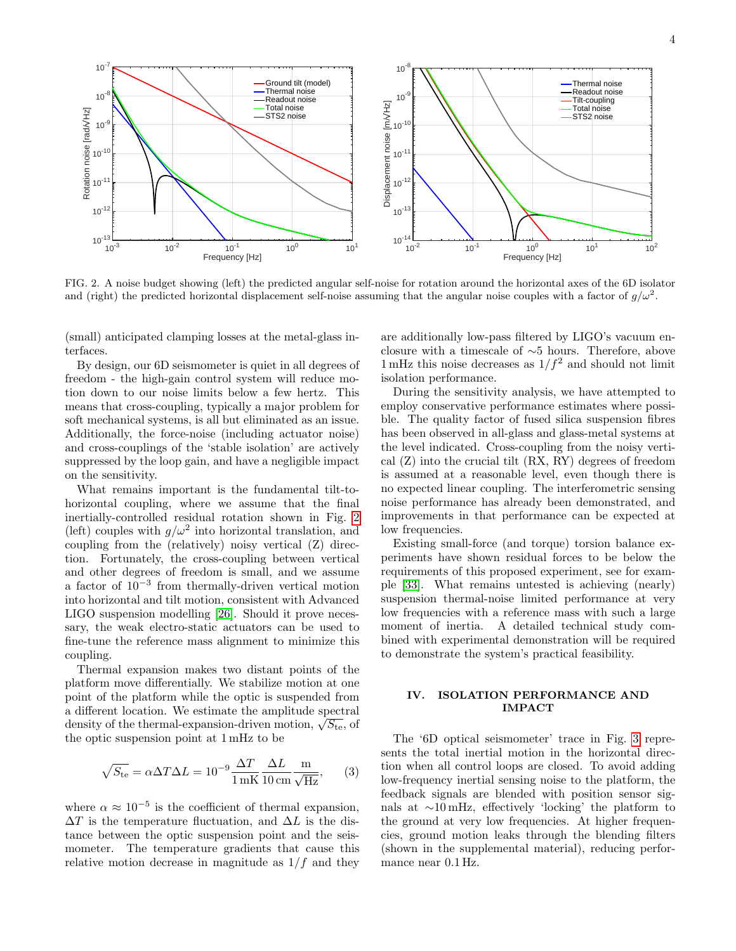

<span id="page-3-0"></span>FIG. 2. A noise budget showing (left) the predicted angular self-noise for rotation around the horizontal axes of the 6D isolator and (right) the predicted horizontal displacement self-noise assuming that the angular noise couples with a factor of  $g/\omega^2$ .

(small) anticipated clamping losses at the metal-glass interfaces.

By design, our 6D seismometer is quiet in all degrees of freedom - the high-gain control system will reduce motion down to our noise limits below a few hertz. This means that cross-coupling, typically a major problem for soft mechanical systems, is all but eliminated as an issue. Additionally, the force-noise (including actuator noise) and cross-couplings of the 'stable isolation' are actively suppressed by the loop gain, and have a negligible impact on the sensitivity.

What remains important is the fundamental tilt-tohorizontal coupling, where we assume that the final inertially-controlled residual rotation shown in Fig. [2](#page-3-0) (left) couples with  $g/\omega^2$  into horizontal translation, and coupling from the (relatively) noisy vertical (Z) direction. Fortunately, the cross-coupling between vertical and other degrees of freedom is small, and we assume a factor of 10<sup>−</sup><sup>3</sup> from thermally-driven vertical motion into horizontal and tilt motion, consistent with Advanced LIGO suspension modelling [\[26\]](#page-7-9). Should it prove necessary, the weak electro-static actuators can be used to fine-tune the reference mass alignment to minimize this coupling.

Thermal expansion makes two distant points of the platform move differentially. We stabilize motion at one point of the platform while the optic is suspended from a different location. We estimate the amplitude spectral a different location. We estimate the amplitude spectral density of the thermal-expansion-driven motion,  $\sqrt{S_{\text{te}}}$ , of the optic suspension point at 1 mHz to be

$$
\sqrt{S_{\text{te}}} = \alpha \Delta T \Delta L = 10^{-9} \frac{\Delta T}{1 \text{ mK}} \frac{\Delta L}{10 \text{ cm}} \frac{\text{m}}{\sqrt{\text{Hz}}},\qquad(3)
$$

where  $\alpha \approx 10^{-5}$  is the coefficient of thermal expansion,  $\Delta T$  is the temperature fluctuation, and  $\Delta L$  is the distance between the optic suspension point and the seismometer. The temperature gradients that cause this relative motion decrease in magnitude as  $1/f$  and they are additionally low-pass filtered by LIGO's vacuum enclosure with a timescale of ∼5 hours. Therefore, above 1 mHz this noise decreases as  $1/f^2$  and should not limit isolation performance.

During the sensitivity analysis, we have attempted to employ conservative performance estimates where possible. The quality factor of fused silica suspension fibres has been observed in all-glass and glass-metal systems at the level indicated. Cross-coupling from the noisy vertical (Z) into the crucial tilt (RX, RY) degrees of freedom is assumed at a reasonable level, even though there is no expected linear coupling. The interferometric sensing noise performance has already been demonstrated, and improvements in that performance can be expected at low frequencies.

Existing small-force (and torque) torsion balance experiments have shown residual forces to be below the requirements of this proposed experiment, see for example [\[33\]](#page-7-16). What remains untested is achieving (nearly) suspension thermal-noise limited performance at very low frequencies with a reference mass with such a large moment of inertia. A detailed technical study combined with experimental demonstration will be required to demonstrate the system's practical feasibility.

## IV. ISOLATION PERFORMANCE AND IMPACT

The '6D optical seismometer' trace in Fig. [3](#page-4-0) represents the total inertial motion in the horizontal direction when all control loops are closed. To avoid adding low-frequency inertial sensing noise to the platform, the feedback signals are blended with position sensor signals at ∼10 mHz, effectively 'locking' the platform to the ground at very low frequencies. At higher frequencies, ground motion leaks through the blending filters (shown in the supplemental material), reducing performance near 0.1 Hz.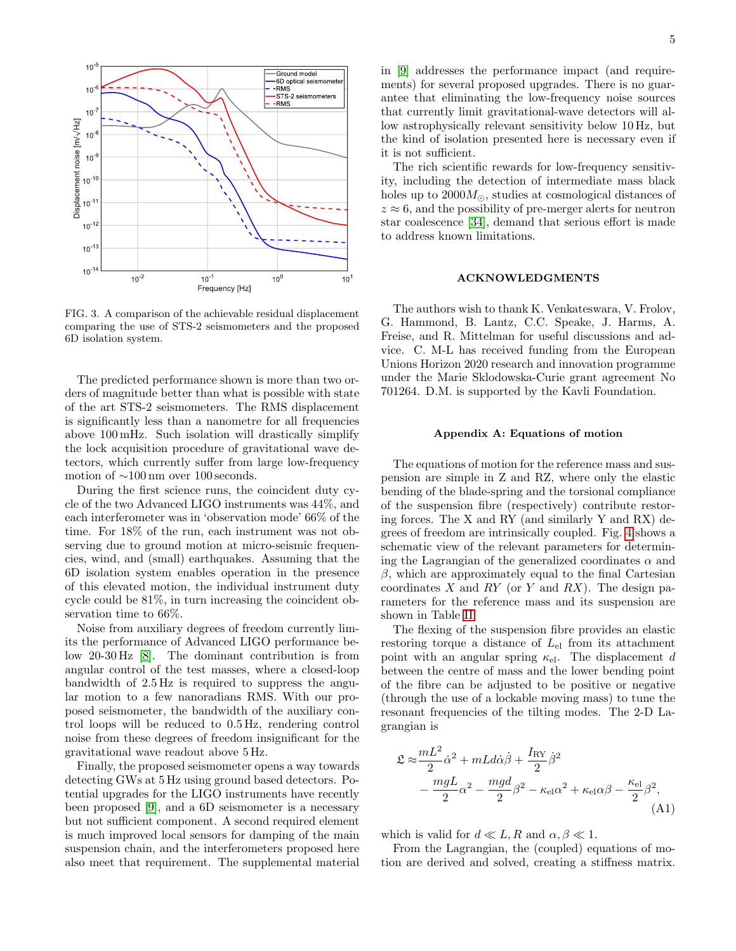

<span id="page-4-0"></span>FIG. 3. A comparison of the achievable residual displacement comparing the use of STS-2 seismometers and the proposed 6D isolation system.

The predicted performance shown is more than two orders of magnitude better than what is possible with state of the art STS-2 seismometers. The RMS displacement is significantly less than a nanometre for all frequencies above 100 mHz. Such isolation will drastically simplify the lock acquisition procedure of gravitational wave detectors, which currently suffer from large low-frequency motion of ∼100 nm over 100 seconds.

During the first science runs, the coincident duty cycle of the two Advanced LIGO instruments was 44%, and each interferometer was in 'observation mode' 66% of the time. For 18% of the run, each instrument was not observing due to ground motion at micro-seismic frequencies, wind, and (small) earthquakes. Assuming that the 6D isolation system enables operation in the presence of this elevated motion, the individual instrument duty cycle could be 81%, in turn increasing the coincident observation time to 66%.

Noise from auxiliary degrees of freedom currently limits the performance of Advanced LIGO performance below 20-30 Hz [\[8\]](#page-6-4). The dominant contribution is from angular control of the test masses, where a closed-loop bandwidth of 2.5 Hz is required to suppress the angular motion to a few nanoradians RMS. With our proposed seismometer, the bandwidth of the auxiliary control loops will be reduced to 0.5 Hz, rendering control noise from these degrees of freedom insignificant for the gravitational wave readout above 5 Hz.

Finally, the proposed seismometer opens a way towards detecting GWs at 5 Hz using ground based detectors. Potential upgrades for the LIGO instruments have recently been proposed [\[9\]](#page-6-5), and a 6D seismometer is a necessary but not sufficient component. A second required element is much improved local sensors for damping of the main suspension chain, and the interferometers proposed here also meet that requirement. The supplemental material

in [\[9\]](#page-6-5) addresses the performance impact (and requirements) for several proposed upgrades. There is no guarantee that eliminating the low-frequency noise sources that currently limit gravitational-wave detectors will allow astrophysically relevant sensitivity below 10 Hz, but the kind of isolation presented here is necessary even if it is not sufficient.

The rich scientific rewards for low-frequency sensitivity, including the detection of intermediate mass black holes up to  $2000M_{\odot}$ , studies at cosmological distances of  $z \approx 6$ , and the possibility of pre-merger alerts for neutron star coalescence [\[34\]](#page-7-17), demand that serious effort is made to address known limitations.

### ACKNOWLEDGMENTS

The authors wish to thank K. Venkateswara, V. Frolov, G. Hammond, B. Lantz, C.C. Speake, J. Harms, A. Freise, and R. Mittelman for useful discussions and advice. C. M-L has received funding from the European Unions Horizon 2020 research and innovation programme under the Marie Sklodowska-Curie grant agreement No 701264. D.M. is supported by the Kavli Foundation.

#### Appendix A: Equations of motion

The equations of motion for the reference mass and suspension are simple in Z and RZ, where only the elastic bending of the blade-spring and the torsional compliance of the suspension fibre (respectively) contribute restoring forces. The X and RY (and similarly Y and RX) degrees of freedom are intrinsically coupled. Fig. [4](#page-5-0) shows a schematic view of the relevant parameters for determining the Lagrangian of the generalized coordinates  $\alpha$  and  $\beta$ , which are approximately equal to the final Cartesian coordinates  $X$  and  $RY$  (or  $Y$  and  $RX$ ). The design parameters for the reference mass and its suspension are shown in Table [II.](#page-5-1)

The flexing of the suspension fibre provides an elastic restoring torque a distance of  $L_{el}$  from its attachment point with an angular spring  $\kappa_{el}$ . The displacement d between the centre of mass and the lower bending point of the fibre can be adjusted to be positive or negative (through the use of a lockable moving mass) to tune the resonant frequencies of the tilting modes. The 2-D Lagrangian is

$$
\mathfrak{L} \approx \frac{mL^2}{2} \dot{\alpha}^2 + mL d\dot{\alpha}\dot{\beta} + \frac{I_{\rm RV}}{2} \dot{\beta}^2
$$

$$
- \frac{mgL}{2} \alpha^2 - \frac{mgd}{2} \beta^2 - \kappa_{\rm el} \alpha^2 + \kappa_{\rm el} \alpha \beta - \frac{\kappa_{\rm el}}{2} \beta^2,
$$
(A1)

which is valid for  $d \ll L, R$  and  $\alpha, \beta \ll 1$ .

From the Lagrangian, the (coupled) equations of motion are derived and solved, creating a stiffness matrix.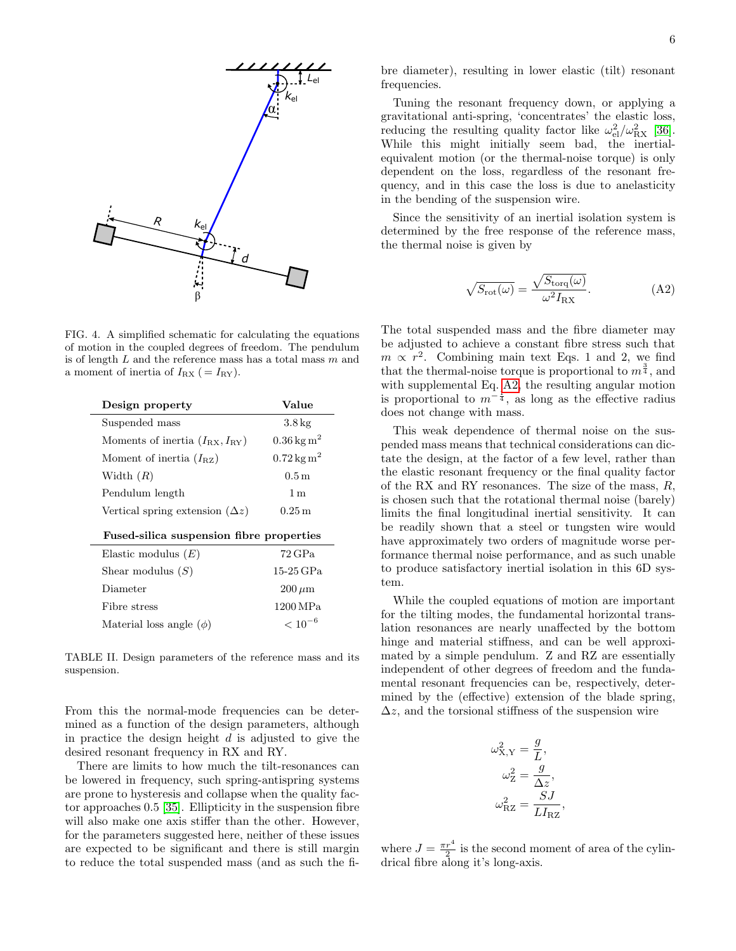

<span id="page-5-0"></span>FIG. 4. A simplified schematic for calculating the equations of motion in the coupled degrees of freedom. The pendulum is of length  $L$  and the reference mass has a total mass  $m$  and a moment of inertia of  $I_{\text{RX}}$  ( =  $I_{\text{RY}}$ ).

| Design property                               | Value                    |  |
|-----------------------------------------------|--------------------------|--|
| Suspended mass                                | $3.8\,\mathrm{kg}$       |  |
| Moments of inertia $(I_{\rm RX}, I_{\rm RV})$ | $0.36\,\mathrm{kg\,m^2}$ |  |
| Moment of inertia $(I_{\rm RZ})$              | $0.72\,\mathrm{kg\,m^2}$ |  |
| Width $(R)$                                   | 0.5 <sub>m</sub>         |  |
| Pendulum length                               | 1 <sub>m</sub>           |  |
| Vertical spring extension $(\Delta z)$        | $0.25\,\mathrm{m}$       |  |
| Fused-silica suspension fibre properties      |                          |  |
| Elastic modulus $(E)$                         | $72\,\mathrm{GPa}$       |  |
| Shear modulus $(S)$                           | 15-25 GPa                |  |
| Diameter                                      | $200 \,\rm \mu m$        |  |
| Fibre stress                                  | 1200 MPa                 |  |
| Material loss angle $(\phi)$                  | $< 10^{-6}$              |  |
|                                               |                          |  |

<span id="page-5-1"></span>TABLE II. Design parameters of the reference mass and its suspension.

From this the normal-mode frequencies can be determined as a function of the design parameters, although in practice the design height  $d$  is adjusted to give the desired resonant frequency in RX and RY.

There are limits to how much the tilt-resonances can be lowered in frequency, such spring-antispring systems are prone to hysteresis and collapse when the quality factor approaches 0.5 [\[35\]](#page-7-18). Ellipticity in the suspension fibre will also make one axis stiffer than the other. However, for the parameters suggested here, neither of these issues are expected to be significant and there is still margin to reduce the total suspended mass (and as such the fibre diameter), resulting in lower elastic (tilt) resonant frequencies.

Tuning the resonant frequency down, or applying a gravitational anti-spring, 'concentrates' the elastic loss, reducing the resulting quality factor like  $\omega_{el}^2/\omega_{RX}^2$  [\[36\]](#page-7-19). While this might initially seem bad, the inertialequivalent motion (or the thermal-noise torque) is only dependent on the loss, regardless of the resonant frequency, and in this case the loss is due to anelasticity in the bending of the suspension wire.

Since the sensitivity of an inertial isolation system is determined by the free response of the reference mass, the thermal noise is given by

<span id="page-5-2"></span>
$$
\sqrt{S_{\rm rot}(\omega)} = \frac{\sqrt{S_{\rm torq}(\omega)}}{\omega^2 I_{\rm RX}}.\tag{A2}
$$

The total suspended mass and the fibre diameter may be adjusted to achieve a constant fibre stress such that  $m \propto r^2$ . Combining main text Eqs. 1 and 2, we find that the thermal-noise torque is proportional to  $m^{\frac{3}{4}}$ , and with supplemental Eq. [A2,](#page-5-2) the resulting angular motion is proportional to  $m^{-\frac{1}{4}}$ , as long as the effective radius does not change with mass.

This weak dependence of thermal noise on the suspended mass means that technical considerations can dictate the design, at the factor of a few level, rather than the elastic resonant frequency or the final quality factor of the RX and RY resonances. The size of the mass,  $R$ , is chosen such that the rotational thermal noise (barely) limits the final longitudinal inertial sensitivity. It can be readily shown that a steel or tungsten wire would have approximately two orders of magnitude worse performance thermal noise performance, and as such unable to produce satisfactory inertial isolation in this 6D system.

While the coupled equations of motion are important for the tilting modes, the fundamental horizontal translation resonances are nearly unaffected by the bottom hinge and material stiffness, and can be well approximated by a simple pendulum. Z and RZ are essentially independent of other degrees of freedom and the fundamental resonant frequencies can be, respectively, determined by the (effective) extension of the blade spring,  $\Delta z$ , and the torsional stiffness of the suspension wire

$$
\omega_{X,Y}^2 = \frac{g}{L},
$$
  

$$
\omega_Z^2 = \frac{g}{\Delta z},
$$
  

$$
\omega_{RZ}^2 = \frac{SJ}{L I_{RZ}},
$$

where  $J = \frac{\pi r^4}{2}$  is the second moment of area of the cylindrical fibre along it's long-axis.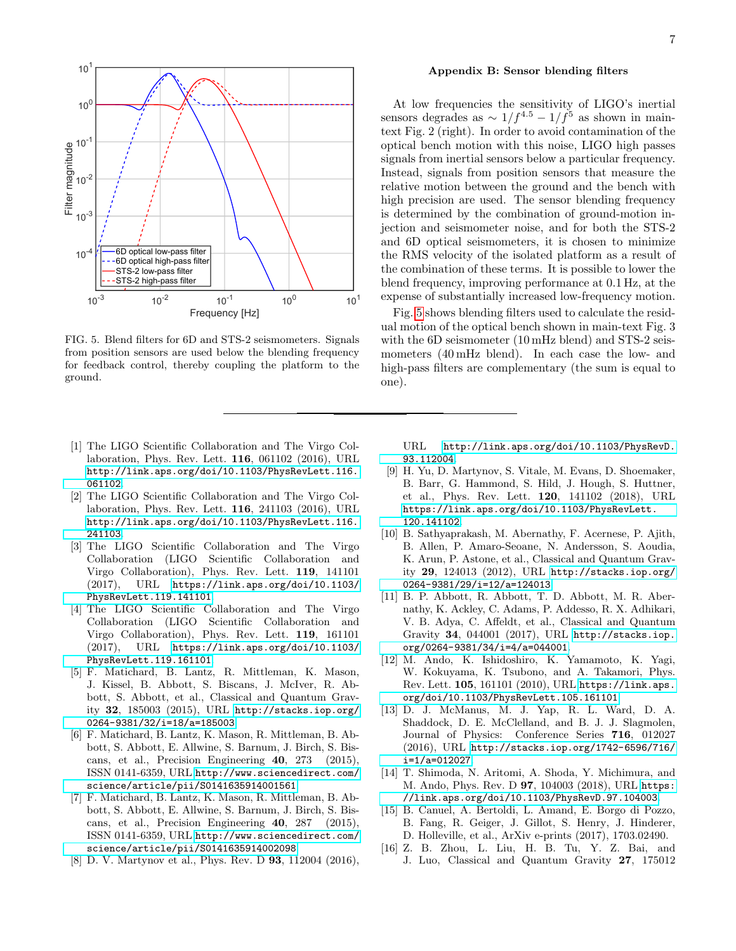

<span id="page-6-12"></span>FIG. 5. Blend filters for 6D and STS-2 seismometers. Signals from position sensors are used below the blending frequency for feedback control, thereby coupling the platform to the ground.

- <span id="page-6-0"></span>[1] The LIGO Scientific Collaboration and The Virgo Collaboration, Phys. Rev. Lett. 116, 061102 (2016), URL [http://link.aps.org/doi/10.1103/PhysRevLett.116.](http://link.aps.org/doi/10.1103/PhysRevLett.116.061102) [061102](http://link.aps.org/doi/10.1103/PhysRevLett.116.061102).
- [2] The LIGO Scientific Collaboration and The Virgo Collaboration, Phys. Rev. Lett. 116, 241103 (2016), URL [http://link.aps.org/doi/10.1103/PhysRevLett.116.](http://link.aps.org/doi/10.1103/PhysRevLett.116.241103) [241103](http://link.aps.org/doi/10.1103/PhysRevLett.116.241103).
- [3] The LIGO Scientific Collaboration and The Virgo Collaboration (LIGO Scientific Collaboration and Virgo Collaboration), Phys. Rev. Lett. 119, 141101 (2017), URL [https://link.aps.org/doi/10.1103/](https://link.aps.org/doi/10.1103/PhysRevLett.119.141101) [PhysRevLett.119.141101](https://link.aps.org/doi/10.1103/PhysRevLett.119.141101).
- <span id="page-6-1"></span>[4] The LIGO Scientific Collaboration and The Virgo Collaboration (LIGO Scientific Collaboration and Virgo Collaboration), Phys. Rev. Lett. 119, 161101 (2017), URL [https://link.aps.org/doi/10.1103/](https://link.aps.org/doi/10.1103/PhysRevLett.119.161101) [PhysRevLett.119.161101](https://link.aps.org/doi/10.1103/PhysRevLett.119.161101).
- <span id="page-6-2"></span>[5] F. Matichard, B. Lantz, R. Mittleman, K. Mason, J. Kissel, B. Abbott, S. Biscans, J. McIver, R. Abbott, S. Abbott, et al., Classical and Quantum Gravity 32, 185003 (2015), URL [http://stacks.iop.org/](http://stacks.iop.org/0264-9381/32/i=18/a=185003) [0264-9381/32/i=18/a=185003](http://stacks.iop.org/0264-9381/32/i=18/a=185003).
- [6] F. Matichard, B. Lantz, K. Mason, R. Mittleman, B. Abbott, S. Abbott, E. Allwine, S. Barnum, J. Birch, S. Biscans, et al., Precision Engineering 40, 273 (2015), ISSN 0141-6359, URL [http://www.sciencedirect.com/](http://www.sciencedirect.com/science/article/pii/S0141635914001561) [science/article/pii/S0141635914001561](http://www.sciencedirect.com/science/article/pii/S0141635914001561).
- <span id="page-6-3"></span>[7] F. Matichard, B. Lantz, K. Mason, R. Mittleman, B. Abbott, S. Abbott, E. Allwine, S. Barnum, J. Birch, S. Biscans, et al., Precision Engineering 40, 287 (2015), ISSN 0141-6359, URL [http://www.sciencedirect.com/](http://www.sciencedirect.com/science/article/pii/S0141635914002098) [science/article/pii/S0141635914002098](http://www.sciencedirect.com/science/article/pii/S0141635914002098).
- <span id="page-6-4"></span>[8] D. V. Martynov et al., Phys. Rev. D 93, 112004 (2016),

### Appendix B: Sensor blending filters

At low frequencies the sensitivity of LIGO's inertial sensors degrades as  $\sim 1/f^{4.5} - 1/f^5$  as shown in maintext Fig. 2 (right). In order to avoid contamination of the optical bench motion with this noise, LIGO high passes signals from inertial sensors below a particular frequency. Instead, signals from position sensors that measure the relative motion between the ground and the bench with high precision are used. The sensor blending frequency is determined by the combination of ground-motion injection and seismometer noise, and for both the STS-2 and 6D optical seismometers, it is chosen to minimize the RMS velocity of the isolated platform as a result of the combination of these terms. It is possible to lower the blend frequency, improving performance at 0.1 Hz, at the expense of substantially increased low-frequency motion.

Fig. [5](#page-6-12) shows blending filters used to calculate the residual motion of the optical bench shown in main-text Fig. 3 with the 6D seismometer (10 mHz blend) and STS-2 seismometers (40 mHz blend). In each case the low- and high-pass filters are complementary (the sum is equal to one).

URL [http://link.aps.org/doi/10.1103/PhysRevD.](http://link.aps.org/doi/10.1103/PhysRevD.93.112004) [93.112004](http://link.aps.org/doi/10.1103/PhysRevD.93.112004).

- <span id="page-6-5"></span>[9] H. Yu, D. Martynov, S. Vitale, M. Evans, D. Shoemaker, B. Barr, G. Hammond, S. Hild, J. Hough, S. Huttner, et al., Phys. Rev. Lett. 120, 141102 (2018), URL [https://link.aps.org/doi/10.1103/PhysRevLett.](https://link.aps.org/doi/10.1103/PhysRevLett.120.141102) [120.141102](https://link.aps.org/doi/10.1103/PhysRevLett.120.141102).
- <span id="page-6-6"></span>[10] B. Sathyaprakash, M. Abernathy, F. Acernese, P. Ajith, B. Allen, P. Amaro-Seoane, N. Andersson, S. Aoudia, K. Arun, P. Astone, et al., Classical and Quantum Gravity 29, 124013 (2012), URL [http://stacks.iop.org/](http://stacks.iop.org/0264-9381/29/i=12/a=124013) [0264-9381/29/i=12/a=124013](http://stacks.iop.org/0264-9381/29/i=12/a=124013).
- <span id="page-6-7"></span>[11] B. P. Abbott, R. Abbott, T. D. Abbott, M. R. Abernathy, K. Ackley, C. Adams, P. Addesso, R. X. Adhikari, V. B. Adya, C. Affeldt, et al., Classical and Quantum Gravity 34, 044001 (2017), URL [http://stacks.iop.](http://stacks.iop.org/0264-9381/34/i=4/a=044001) [org/0264-9381/34/i=4/a=044001](http://stacks.iop.org/0264-9381/34/i=4/a=044001).
- <span id="page-6-8"></span>[12] M. Ando, K. Ishidoshiro, K. Yamamoto, K. Yagi, W. Kokuyama, K. Tsubono, and A. Takamori, Phys. Rev. Lett. 105, 161101 (2010), URL [https://link.aps.](https://link.aps.org/doi/10.1103/PhysRevLett.105.161101) [org/doi/10.1103/PhysRevLett.105.161101](https://link.aps.org/doi/10.1103/PhysRevLett.105.161101).
- [13] D. J. McManus, M. J. Yap, R. L. Ward, D. A. Shaddock, D. E. McClelland, and B. J. J. Slagmolen, Journal of Physics: Conference Series 716, 012027 (2016), URL [http://stacks.iop.org/1742-6596/716/](http://stacks.iop.org/1742-6596/716/i=1/a=012027) [i=1/a=012027](http://stacks.iop.org/1742-6596/716/i=1/a=012027).
- <span id="page-6-9"></span>[14] T. Shimoda, N. Aritomi, A. Shoda, Y. Michimura, and M. Ando, Phys. Rev. D 97, 104003 (2018), URL [https:](https://link.aps.org/doi/10.1103/PhysRevD.97.104003) [//link.aps.org/doi/10.1103/PhysRevD.97.104003](https://link.aps.org/doi/10.1103/PhysRevD.97.104003).
- <span id="page-6-10"></span>[15] B. Canuel, A. Bertoldi, L. Amand, E. Borgo di Pozzo, B. Fang, R. Geiger, J. Gillot, S. Henry, J. Hinderer, D. Holleville, et al., ArXiv e-prints (2017), 1703.02490.
- <span id="page-6-11"></span>[16] Z. B. Zhou, L. Liu, H. B. Tu, Y. Z. Bai, and J. Luo, Classical and Quantum Gravity 27, 175012